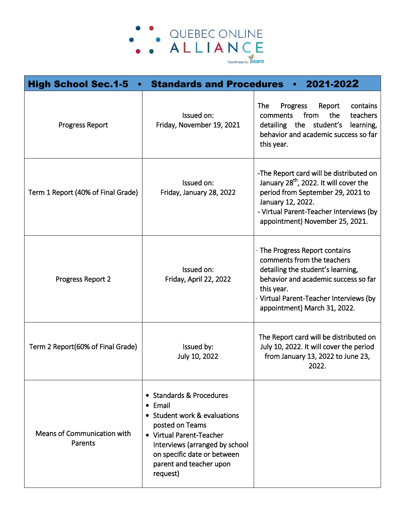

| <b>High School Sec.1-5</b>             | <b>Standards and Procedures</b>                                                                                                                                                                                                    | 2021-2022                                                                                                                                                                                                                             |
|----------------------------------------|------------------------------------------------------------------------------------------------------------------------------------------------------------------------------------------------------------------------------------|---------------------------------------------------------------------------------------------------------------------------------------------------------------------------------------------------------------------------------------|
| <b>Progress Report</b>                 | Issued on:<br>Friday, November 19, 2021                                                                                                                                                                                            | Progress<br>contains<br>The<br>Report<br>from<br>the<br>teachers<br>comments<br>student's<br>detailing the<br>learning,<br>behavior and academic success so far<br>this year.                                                         |
| Term 1 Report (40% of Final Grade)     | Issued on:<br>Friday, January 28, 2022                                                                                                                                                                                             | -The Report card will be distributed on<br>January 28 <sup>th</sup> , 2022. It will cover the<br>period from September 29, 2021 to<br>January 12, 2022.<br>- Virtual Parent-Teacher Interviews (by<br>appointment) November 25, 2021. |
| Progress Report 2                      | Issued on:<br>Friday, April 22, 2022                                                                                                                                                                                               | - The Progress Report contains<br>comments from the teachers<br>detailing the student's learning,<br>behavior and academic success so far<br>this year.<br>Virtual Parent-Teacher Interviews (by<br>appointment) March 31, 2022.      |
| Term 2 Report(60% of Final Grade)      | Issued by:<br>July 10, 2022                                                                                                                                                                                                        | The Report card will be distributed on<br>July 10, 2022. It will cover the period<br>from January 13, 2022 to June 23,<br>2022.                                                                                                       |
| Means of Communication with<br>Parents | • Standards & Procedures<br>$\bullet$ Email<br>• Student work & evaluations<br>posted on Teams<br>• Virtual Parent-Teacher<br>Interviews (arranged by school<br>on specific date or between<br>parent and teacher upon<br>request) |                                                                                                                                                                                                                                       |